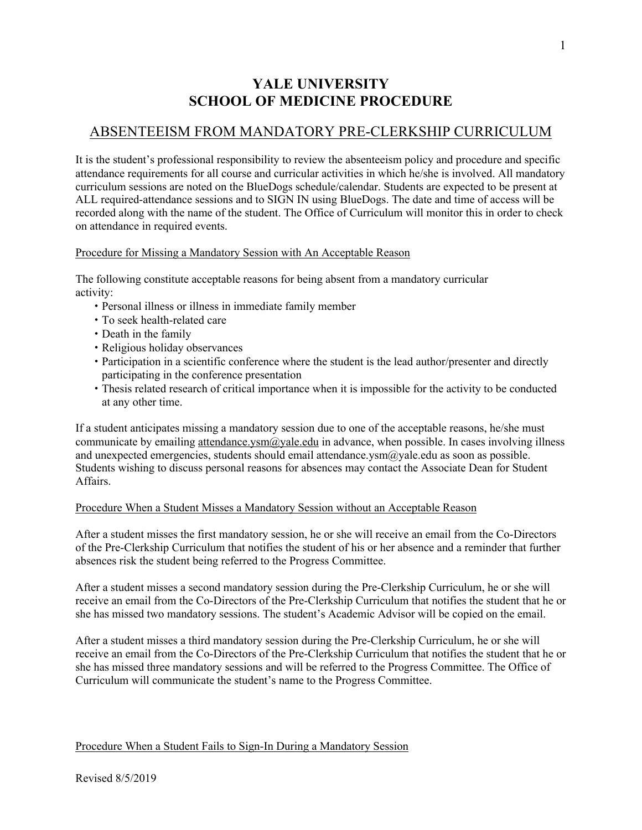# **YALE UNIVERSITY SCHOOL OF MEDICINE PROCEDURE**

## ABSENTEEISM FROM MANDATORY PRE-CLERKSHIP CURRICULUM

It is the student's professional responsibility to review the absenteeism policy and procedure and specific attendance requirements for all course and curricular activities in which he/she is involved. All mandatory curriculum sessions are noted on the BlueDogs schedule/calendar. Students are expected to be present at ALL required-attendance sessions and to SIGN IN using BlueDogs. The date and time of access will be recorded along with the name of the student. The Office of Curriculum will monitor this in order to check on attendance in required events.

## Procedure for Missing a Mandatory Session with An Acceptable Reason

The following constitute acceptable reasons for being absent from a mandatory curricular activity:

- Personal illness or illness in immediate family member
- To seek health-related care
- Death in the family
- Religious holiday observances
- Participation in a scientific conference where the student is the lead author/presenter and directly participating in the conference presentation
- Thesis related research of critical importance when it is impossible for the activity to be conducted at any other time.

If a student anticipates missing a mandatory session due to one of the acceptable reasons, he/she must communicate by emailing attendance.ysm@yale.edu in advance, when possible. In cases involving illness and unexpected emergencies, students should email attendance.ysm@yale.edu as soon as possible. Students wishing to discuss personal reasons for absences may contact the Associate Dean for Student Affairs.

## Procedure When a Student Misses a Mandatory Session without an Acceptable Reason

After a student misses the first mandatory session, he or she will receive an email from the Co-Directors of the Pre-Clerkship Curriculum that notifies the student of his or her absence and a reminder that further absences risk the student being referred to the Progress Committee.

After a student misses a second mandatory session during the Pre-Clerkship Curriculum, he or she will receive an email from the Co-Directors of the Pre-Clerkship Curriculum that notifies the student that he or she has missed two mandatory sessions. The student's Academic Advisor will be copied on the email.

After a student misses a third mandatory session during the Pre-Clerkship Curriculum, he or she will receive an email from the Co-Directors of the Pre-Clerkship Curriculum that notifies the student that he or she has missed three mandatory sessions and will be referred to the Progress Committee. The Office of Curriculum will communicate the student's name to the Progress Committee.

## Procedure When a Student Fails to Sign-In During a Mandatory Session